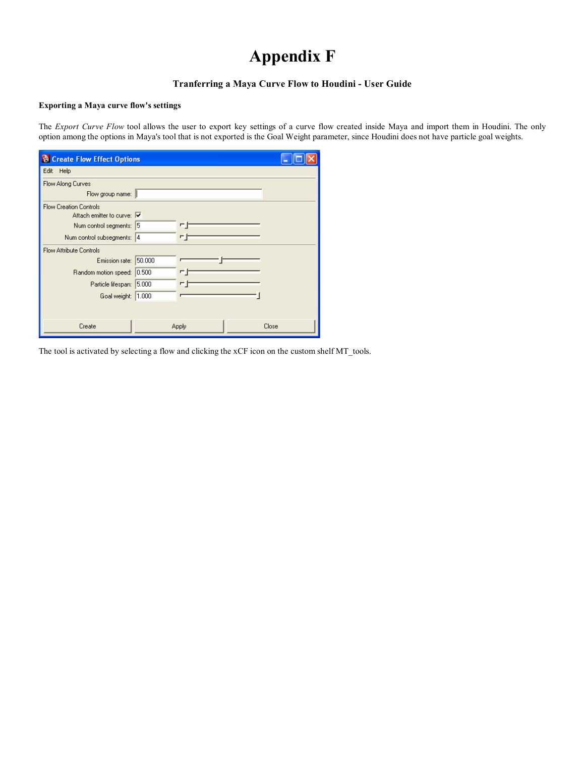## Appendix F

## Tranferring a Maya Curve Flow to Houdini - User Guide

## Exporting a Maya curve flow's settings

The Export Curve Flow tool allows the user to export key settings of a curve flow created inside Maya and import them in Houdini. The only option among the options in Maya's tool that is not exported is the Goal Weight parameter, since Houdini does not have particle goal weights.

| <b>&amp; Create Flow Effect Options</b>                                                                                          |        |              |       |  |
|----------------------------------------------------------------------------------------------------------------------------------|--------|--------------|-------|--|
| Edit Help                                                                                                                        |        |              |       |  |
| <b>Flow Along Curves</b><br>Flow group name:                                                                                     |        |              |       |  |
| <b>Flow Creation Controls</b><br>Attach emitter to curve: V<br>Num control segments: 5<br>Num control subsegments: 4             |        | Ē<br>п.      |       |  |
| <b>Flow Attribute Controls</b><br>Emission rate:<br>Random motion speed: 0.500<br>Particle lifespan: 5.000<br>Goal weight: 1.000 | 50,000 | Ē<br>┍       |       |  |
| Create                                                                                                                           |        | <b>Apply</b> | Close |  |

The tool is activated by selecting a flow and clicking the xCF icon on the custom shelf MT\_tools.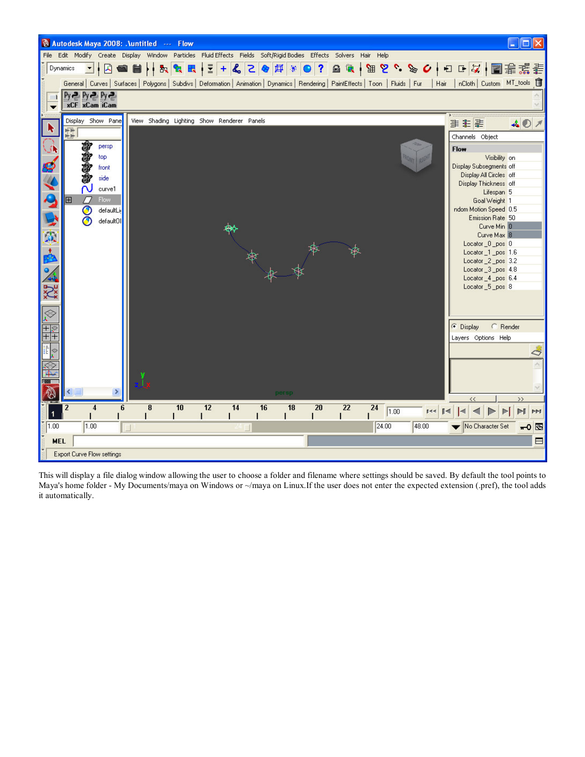

This will display a file dialog window allowing the user to choose a folder and filename where settings should be saved. By default the tool points to Maya's home folder - My Documents/maya on Windows or ~/maya on Linux.If the user does not enter the expected extension (.pref), the tool adds it automatically.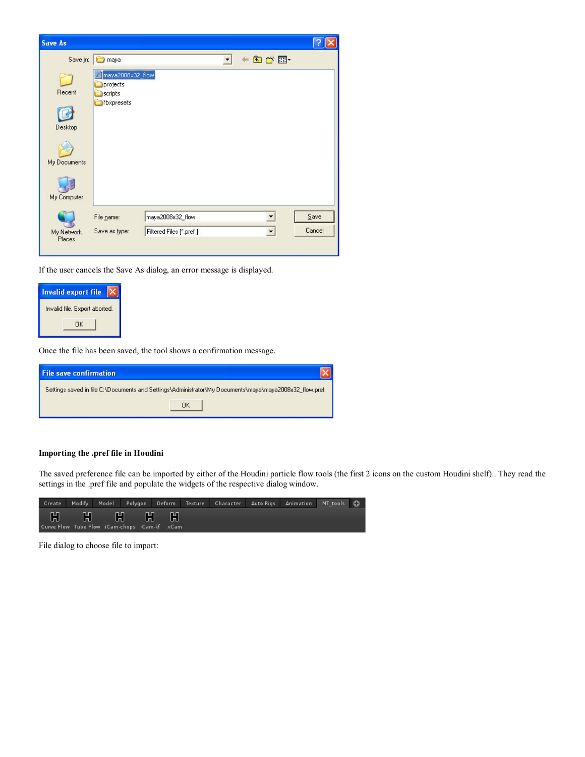| <b>Save As</b>                                   |                                                                |                                             |                                                  |                |
|--------------------------------------------------|----------------------------------------------------------------|---------------------------------------------|--------------------------------------------------|----------------|
| Save in:                                         | maya                                                           |                                             | $+B$ of $E$                                      |                |
| Recent<br>Desktop<br>My Documents<br>My Computer | maya2008x32_flow<br>projects<br>scripts<br><b>O</b> fbxpresets |                                             |                                                  |                |
| My Network<br>Places                             | File name:<br>Save as type:                                    | maya2008x32_flow<br>Filtered Files [*.pref] | $\overline{\phantom{a}}$<br>$\blacktriangledown$ | Save<br>Cancel |

If the user cancels the Save As dialog, an error message is displayed.



Once the file has been saved, the tool shows a confirmation message.

| <b>File save confirmation</b> |                                                                                                         |  |
|-------------------------------|---------------------------------------------------------------------------------------------------------|--|
|                               | Settings saved in file C:\Documents and Settings\Administrator\My Documents\maya\maya2008x32_flow.pref. |  |
|                               | ΠK                                                                                                      |  |

## Importing the .pref file in Houdini

The saved preference file can be imported by either of the Houdini particle flow tools (the first 2 icons on the custom Houdini shelf).. They read the settings in the .pref file and populate the widgets of the respective dialog window.



File dialog to choose file to import: